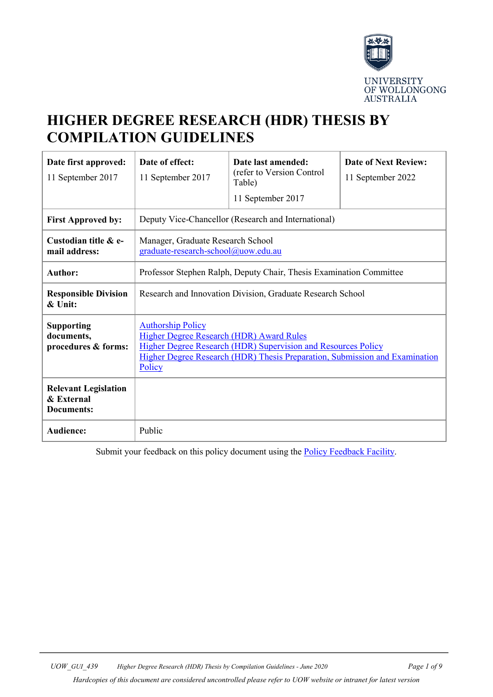

# **HIGHER DEGREE RESEARCH (HDR) THESIS BY COMPILATION GUIDELINES**

| Date first approved:<br>11 September 2017                      | Date of effect:<br>11 September 2017                                                                                                                                                                                                  | Date last amended:<br>(refer to Version Control<br>Table)<br>11 September 2017 | <b>Date of Next Review:</b><br>11 September 2022 |
|----------------------------------------------------------------|---------------------------------------------------------------------------------------------------------------------------------------------------------------------------------------------------------------------------------------|--------------------------------------------------------------------------------|--------------------------------------------------|
| <b>First Approved by:</b>                                      | Deputy Vice-Chancellor (Research and International)                                                                                                                                                                                   |                                                                                |                                                  |
| Custodian title & e-<br>mail address:                          | Manager, Graduate Research School<br>graduate-research-school@uow.edu.au                                                                                                                                                              |                                                                                |                                                  |
| <b>Author:</b>                                                 | Professor Stephen Ralph, Deputy Chair, Thesis Examination Committee                                                                                                                                                                   |                                                                                |                                                  |
| <b>Responsible Division</b><br>& Unit:                         | Research and Innovation Division, Graduate Research School                                                                                                                                                                            |                                                                                |                                                  |
| <b>Supporting</b><br>documents,<br>procedures & forms:         | <b>Authorship Policy</b><br><b>Higher Degree Research (HDR) Award Rules</b><br>Higher Degree Research (HDR) Supervision and Resources Policy<br>Higher Degree Research (HDR) Thesis Preparation, Submission and Examination<br>Policy |                                                                                |                                                  |
| <b>Relevant Legislation</b><br>& External<br><b>Documents:</b> |                                                                                                                                                                                                                                       |                                                                                |                                                  |
| Audience:                                                      | Public                                                                                                                                                                                                                                |                                                                                |                                                  |

Submit your feedback on this policy document using the [Policy Feedback Facility.](http://www.uow.edu.au/about/policy/feedback/index.html)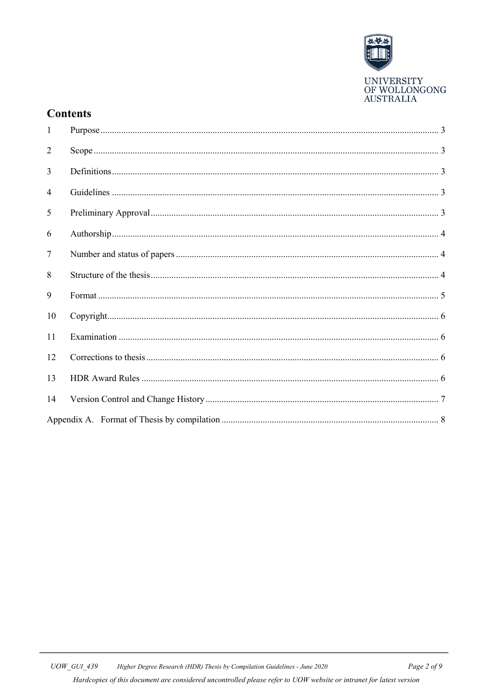

## **Contents**

| $\mathbf{1}$   |  |
|----------------|--|
| $\overline{2}$ |  |
| 3              |  |
| 4              |  |
| 5              |  |
| 6              |  |
| $\overline{7}$ |  |
| 8              |  |
| 9              |  |
| 10             |  |
| 11             |  |
| 12             |  |
| 13             |  |
| 14             |  |
|                |  |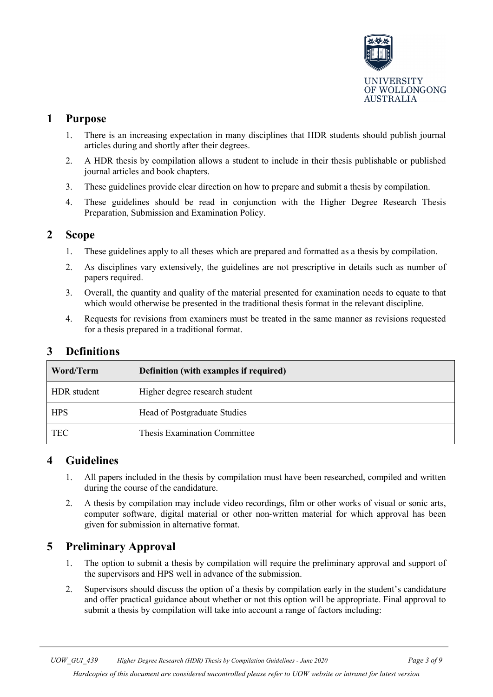

## <span id="page-2-0"></span>**1 Purpose**

- 1. There is an increasing expectation in many disciplines that HDR students should publish journal articles during and shortly after their degrees.
- 2. A HDR thesis by compilation allows a student to include in their thesis publishable or published journal articles and book chapters.
- 3. These guidelines provide clear direction on how to prepare and submit a thesis by compilation.
- 4. These guidelines should be read in conjunction with the Higher Degree Research Thesis Preparation, Submission and Examination Policy.

## <span id="page-2-1"></span>**2 Scope**

- 1. These guidelines apply to all theses which are prepared and formatted as a thesis by compilation.
- 2. As disciplines vary extensively, the guidelines are not prescriptive in details such as number of papers required.
- 3. Overall, the quantity and quality of the material presented for examination needs to equate to that which would otherwise be presented in the traditional thesis format in the relevant discipline.
- 4. Requests for revisions from examiners must be treated in the same manner as revisions requested for a thesis prepared in a traditional format.

<span id="page-2-2"></span>

| <b>Definitions</b> |
|--------------------|
|                    |

| Word/Term   | Definition (with examples if required) |  |
|-------------|----------------------------------------|--|
| HDR student | Higher degree research student         |  |
| <b>HPS</b>  | Head of Postgraduate Studies           |  |
| <b>TEC</b>  | Thesis Examination Committee           |  |

## <span id="page-2-3"></span>**4 Guidelines**

- 1. All papers included in the thesis by compilation must have been researched, compiled and written during the course of the candidature.
- 2. A thesis by compilation may include video recordings, film or other works of visual or sonic arts, computer software, digital material or other non-written material for which approval has been given for submission in alternative format.

## <span id="page-2-4"></span>**5 Preliminary Approval**

- 1. The option to submit a thesis by compilation will require the preliminary approval and support of the supervisors and HPS well in advance of the submission.
- 2. Supervisors should discuss the option of a thesis by compilation early in the student's candidature and offer practical guidance about whether or not this option will be appropriate. Final approval to submit a thesis by compilation will take into account a range of factors including: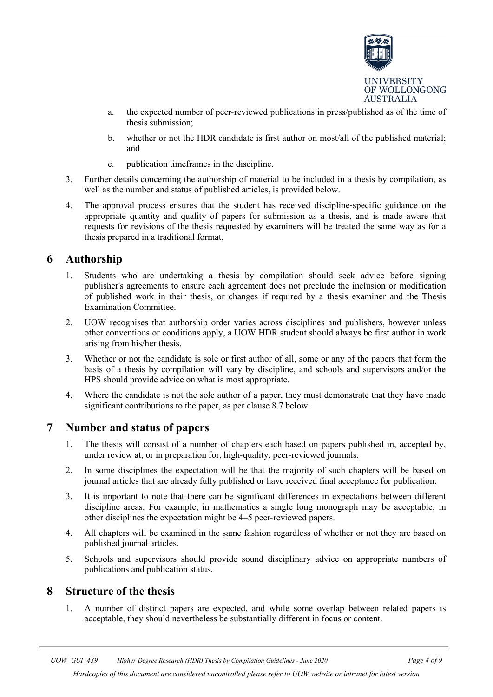

- a. the expected number of peer‐reviewed publications in press/published as of the time of thesis submission;
- b. whether or not the HDR candidate is first author on most/all of the published material; and
- c. publication timeframes in the discipline.
- 3. Further details concerning the authorship of material to be included in a thesis by compilation, as well as the number and status of published articles, is provided below.
- 4. The approval process ensures that the student has received discipline‐specific guidance on the appropriate quantity and quality of papers for submission as a thesis, and is made aware that requests for revisions of the thesis requested by examiners will be treated the same way as for a thesis prepared in a traditional format.

## <span id="page-3-0"></span>**6 Authorship**

- 1. Students who are undertaking a thesis by compilation should seek advice before signing publisher's agreements to ensure each agreement does not preclude the inclusion or modification of published work in their thesis, or changes if required by a thesis examiner and the Thesis Examination Committee.
- 2. UOW recognises that authorship order varies across disciplines and publishers, however unless other conventions or conditions apply, a UOW HDR student should always be first author in work arising from his/her thesis.
- 3. Whether or not the candidate is sole or first author of all, some or any of the papers that form the basis of a thesis by compilation will vary by discipline, and schools and supervisors and/or the HPS should provide advice on what is most appropriate.
- 4. Where the candidate is not the sole author of a paper, they must demonstrate that they have made significant contributions to the paper, as per clause 8.7 below.

### <span id="page-3-1"></span>**7 Number and status of papers**

- 1. The thesis will consist of a number of chapters each based on papers published in, accepted by, under review at, or in preparation for, high-quality, peer-reviewed journals.
- 2. In some disciplines the expectation will be that the majority of such chapters will be based on journal articles that are already fully published or have received final acceptance for publication.
- 3. It is important to note that there can be significant differences in expectations between different discipline areas. For example, in mathematics a single long monograph may be acceptable; in other disciplines the expectation might be 4–5 peer‐reviewed papers.
- 4. All chapters will be examined in the same fashion regardless of whether or not they are based on published journal articles.
- 5. Schools and supervisors should provide sound disciplinary advice on appropriate numbers of publications and publication status.

## <span id="page-3-2"></span>**8 Structure of the thesis**

1. A number of distinct papers are expected, and while some overlap between related papers is acceptable, they should nevertheless be substantially different in focus or content.

*Hardcopies of this document are considered uncontrolled please refer to UOW website or intranet for latest version*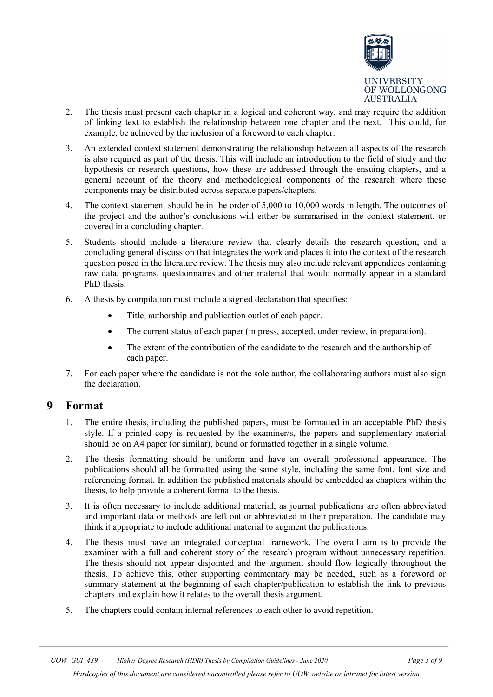

- 2. The thesis must present each chapter in a logical and coherent way, and may require the addition of linking text to establish the relationship between one chapter and the next. This could, for example, be achieved by the inclusion of a foreword to each chapter.
- 3. An extended context statement demonstrating the relationship between all aspects of the research is also required as part of the thesis. This will include an introduction to the field of study and the hypothesis or research questions, how these are addressed through the ensuing chapters, and a general account of the theory and methodological components of the research where these components may be distributed across separate papers/chapters.
- 4. The context statement should be in the order of 5,000 to 10,000 words in length. The outcomes of the project and the author's conclusions will either be summarised in the context statement, or covered in a concluding chapter.
- 5. Students should include a literature review that clearly details the research question, and a concluding general discussion that integrates the work and places it into the context of the research question posed in the literature review. The thesis may also include relevant appendices containing raw data, programs, questionnaires and other material that would normally appear in a standard PhD thesis.
- 6. A thesis by compilation must include a signed declaration that specifies:
	- Title, authorship and publication outlet of each paper.
	- The current status of each paper (in press, accepted, under review, in preparation).
	- The extent of the contribution of the candidate to the research and the authorship of each paper.
- 7. For each paper where the candidate is not the sole author, the collaborating authors must also sign the declaration.

### <span id="page-4-0"></span>**9 Format**

- 1. The entire thesis, including the published papers, must be formatted in an acceptable PhD thesis style. If a printed copy is requested by the examiner/s, the papers and supplementary material should be on A4 paper (or similar), bound or formatted together in a single volume.
- 2. The thesis formatting should be uniform and have an overall professional appearance. The publications should all be formatted using the same style, including the same font, font size and referencing format. In addition the published materials should be embedded as chapters within the thesis, to help provide a coherent format to the thesis.
- 3. It is often necessary to include additional material, as journal publications are often abbreviated and important data or methods are left out or abbreviated in their preparation. The candidate may think it appropriate to include additional material to augment the publications.
- 4. The thesis must have an integrated conceptual framework. The overall aim is to provide the examiner with a full and coherent story of the research program without unnecessary repetition. The thesis should not appear disjointed and the argument should flow logically throughout the thesis. To achieve this, other supporting commentary may be needed, such as a foreword or summary statement at the beginning of each chapter/publication to establish the link to previous chapters and explain how it relates to the overall thesis argument.
- 5. The chapters could contain internal references to each other to avoid repetition.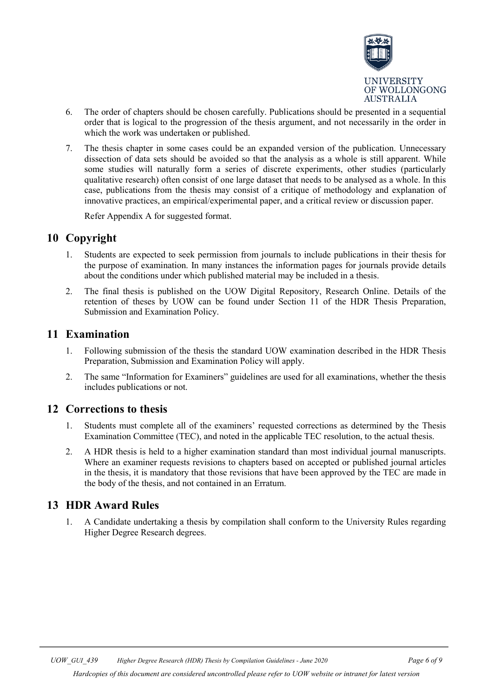

- 6. The order of chapters should be chosen carefully. Publications should be presented in a sequential order that is logical to the progression of the thesis argument, and not necessarily in the order in which the work was undertaken or published.
- 7. The thesis chapter in some cases could be an expanded version of the publication. Unnecessary dissection of data sets should be avoided so that the analysis as a whole is still apparent. While some studies will naturally form a series of discrete experiments, other studies (particularly qualitative research) often consist of one large dataset that needs to be analysed as a whole. In this case, publications from the thesis may consist of a critique of methodology and explanation of innovative practices, an empirical/experimental paper, and a critical review or discussion paper.

Refer Appendix A for suggested format.

## <span id="page-5-0"></span>**10 Copyright**

- 1. Students are expected to seek permission from journals to include publications in their thesis for the purpose of examination. In many instances the information pages for journals provide details about the conditions under which published material may be included in a thesis.
- 2. The final thesis is published on the UOW Digital Repository, Research Online. Details of the retention of theses by UOW can be found under Section 11 of the HDR Thesis Preparation, Submission and Examination Policy.

## <span id="page-5-1"></span>**11 Examination**

- 1. Following submission of the thesis the standard UOW examination described in the HDR Thesis Preparation, Submission and Examination Policy will apply.
- 2. The same "Information for Examiners" guidelines are used for all examinations, whether the thesis includes publications or not.

## <span id="page-5-2"></span>**12 Corrections to thesis**

- 1. Students must complete all of the examiners' requested corrections as determined by the Thesis Examination Committee (TEC), and noted in the applicable TEC resolution, to the actual thesis.
- 2. A HDR thesis is held to a higher examination standard than most individual journal manuscripts. Where an examiner requests revisions to chapters based on accepted or published journal articles in the thesis, it is mandatory that those revisions that have been approved by the TEC are made in the body of the thesis, and not contained in an Erratum.

## <span id="page-5-3"></span>**13 HDR Award Rules**

1. A Candidate undertaking a thesis by compilation shall conform to the University Rules regarding Higher Degree Research degrees.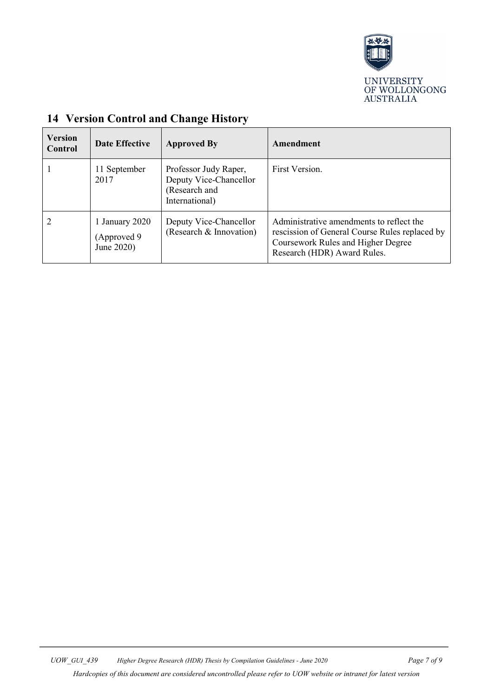

| <b>Version</b><br>Control | <b>Date Effective</b>                        | <b>Approved By</b>                                                                 | Amendment                                                                                                                                                       |
|---------------------------|----------------------------------------------|------------------------------------------------------------------------------------|-----------------------------------------------------------------------------------------------------------------------------------------------------------------|
|                           | 11 September<br>2017                         | Professor Judy Raper,<br>Deputy Vice-Chancellor<br>(Research and<br>International) | First Version.                                                                                                                                                  |
|                           | 1 January 2020<br>(Approved 9)<br>June 2020) | Deputy Vice-Chancellor<br>(Research & Innovation)                                  | Administrative amendments to reflect the<br>rescission of General Course Rules replaced by<br>Coursework Rules and Higher Degree<br>Research (HDR) Award Rules. |

## <span id="page-6-0"></span>**14 Version Control and Change History**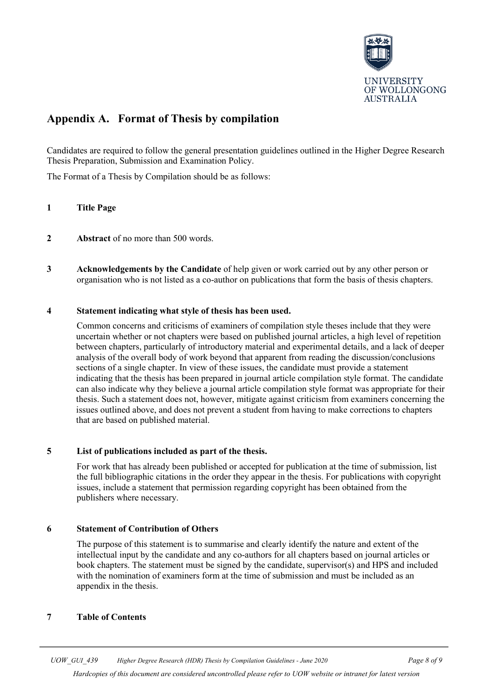

## <span id="page-7-0"></span>**Appendix A. Format of Thesis by compilation**

Candidates are required to follow the general presentation guidelines outlined in the Higher Degree Research Thesis Preparation, Submission and Examination Policy.

The Format of a Thesis by Compilation should be as follows:

### **1 Title Page**

- **2 Abstract** of no more than 500 words.
- **3 Acknowledgements by the Candidate** of help given or work carried out by any other person or organisation who is not listed as a co-author on publications that form the basis of thesis chapters.

### **4 Statement indicating what style of thesis has been used.**

Common concerns and criticisms of examiners of compilation style theses include that they were uncertain whether or not chapters were based on published journal articles, a high level of repetition between chapters, particularly of introductory material and experimental details, and a lack of deeper analysis of the overall body of work beyond that apparent from reading the discussion/conclusions sections of a single chapter. In view of these issues, the candidate must provide a statement indicating that the thesis has been prepared in journal article compilation style format. The candidate can also indicate why they believe a journal article compilation style format was appropriate for their thesis. Such a statement does not, however, mitigate against criticism from examiners concerning the issues outlined above, and does not prevent a student from having to make corrections to chapters that are based on published material.

### **5 List of publications included as part of the thesis.**

For work that has already been published or accepted for publication at the time of submission, list the full bibliographic citations in the order they appear in the thesis. For publications with copyright issues, include a statement that permission regarding copyright has been obtained from the publishers where necessary.

### **6 Statement of Contribution of Others**

The purpose of this statement is to summarise and clearly identify the nature and extent of the intellectual input by the candidate and any co-authors for all chapters based on journal articles or book chapters. The statement must be signed by the candidate, supervisor(s) and HPS and included with the nomination of examiners form at the time of submission and must be included as an appendix in the thesis.

### **7 Table of Contents**